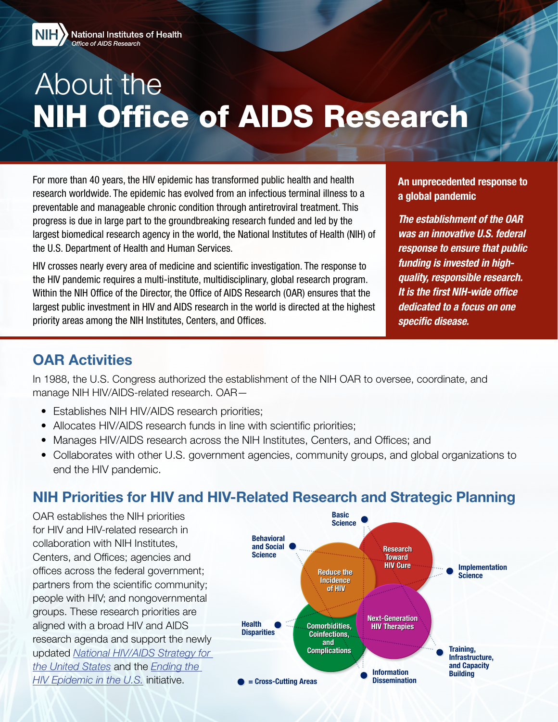

# About the NIH Office of AIDS Research

For more than 40 years, the HIV epidemic has transformed public health and health research worldwide. The epidemic has evolved from an infectious terminal illness to a preventable and manageable chronic condition through antiretroviral treatment. This progress is due in large part to the groundbreaking research funded and led by the largest biomedical research agency in the world, the National Institutes of Health (NIH) of the U.S. Department of Health and Human Services.

HIV crosses nearly every area of medicine and scientific investigation. The response to the HIV pandemic requires a multi-institute, multidisciplinary, global research program. Within the NIH Office of the Director, the Office of AIDS Research (OAR) ensures that the largest public investment in HIV and AIDS research in the world is directed at the highest priority areas among the NIH Institutes, Centers, and Offices.

An unprecedented response to a global pandemic

*The establishment of the OAR was an innovative U.S. federal response to ensure that public funding is invested in highquality, responsible research. It is the first NIH-wide office dedicated to a focus on one specific disease.* 

### OAR Activities

In 1988, the U.S. Congress authorized the establishment of the NIH OAR to oversee, coordinate, and manage NIH HIV/AIDS-related research. OAR—

- Establishes NIH HIV/AIDS research priorities;
- Allocates HIV/AIDS research funds in line with scientific priorities;
- Manages HIV/AIDS research across the NIH Institutes, Centers, and Offices; and
- Collaborates with other U.S. government agencies, community groups, and global organizations to end the HIV pandemic.

# NIH Priorities for HIV and HIV-Related Research and Strategic Planning

OAR establishes the NIH priorities for HIV and HIV-related research in collaboration with NIH Institutes, Centers, and Offices; agencies and offices across the federal government; partners from the scientific community; people with HIV; and nongovernmental groups. These research priorities are aligned with a broad HIV and AIDS research agenda and support the newly updated *[National HIV/AIDS Strategy for](https://hivgov-prod-v3.s3.amazonaws.com/s3fs-public/NHAS-2022-2025.pdf)  [the United States](https://hivgov-prod-v3.s3.amazonaws.com/s3fs-public/NHAS-2022-2025.pdf)* and the *[Ending the](https://www.hiv.gov/federal-response/ending-the-hiv-epidemic/overview)  [HIV Epidemic in the U.S.](https://www.hiv.gov/federal-response/ending-the-hiv-epidemic/overview)* initiative.